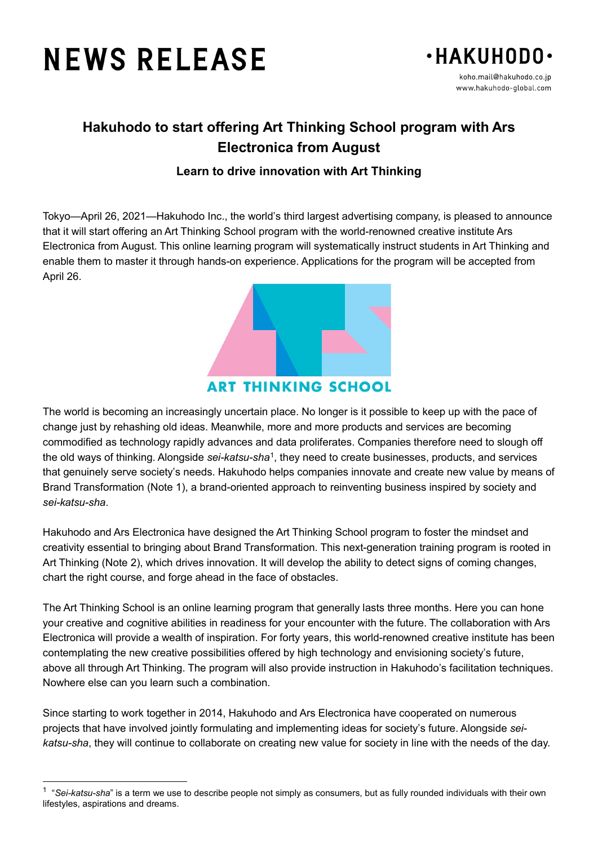# **NEWS RELEASE**

 $\overline{a}$ 



## **Hakuhodo to start offering Art Thinking School program with Ars Electronica from August**

### **Learn to drive innovation with Art Thinking**

Tokyo—April 26, 2021—Hakuhodo Inc., the world's third largest advertising company, is pleased to announce that it will start offering an Art Thinking School program with the world-renowned creative institute Ars Electronica from August. This online learning program will systematically instruct students in Art Thinking and enable them to master it through hands-on experience. Applications for the program will be accepted from April 26.



**ART THINKING SCHOOL** 

The world is becoming an increasingly uncertain place. No longer is it possible to keep up with the pace of change just by rehashing old ideas. Meanwhile, more and more products and services are becoming commodified as technology rapidly advances and data proliferates. Companies therefore need to slough off the old ways of thinking. Alongside *sei-katsu-sha*[1,](#page-0-0) they need to create businesses, products, and services that genuinely serve society's needs. Hakuhodo helps companies innovate and create new value by means of Brand Transformation (Note 1), a brand-oriented approach to reinventing business inspired by society and *sei-katsu-sha*.

Hakuhodo and Ars Electronica have designed the Art Thinking School program to foster the mindset and creativity essential to bringing about Brand Transformation. This next-generation training program is rooted in Art Thinking (Note 2), which drives innovation. It will develop the ability to detect signs of coming changes, chart the right course, and forge ahead in the face of obstacles.

The Art Thinking School is an online learning program that generally lasts three months. Here you can hone your creative and cognitive abilities in readiness for your encounter with the future. The collaboration with Ars Electronica will provide a wealth of inspiration. For forty years, this world-renowned creative institute has been contemplating the new creative possibilities offered by high technology and envisioning society's future, above all through Art Thinking. The program will also provide instruction in Hakuhodo's facilitation techniques. Nowhere else can you learn such a combination.

Since starting to work together in 2014, Hakuhodo and Ars Electronica have cooperated on numerous projects that have involved jointly formulating and implementing ideas for society's future. Alongside *seikatsu-sha*, they will continue to collaborate on creating new value for society in line with the needs of the day.

<span id="page-0-0"></span><sup>1</sup> "*Sei-katsu-sha*" is a term we use to describe people not simply as consumers, but as fully rounded individuals with their own lifestyles, aspirations and dreams.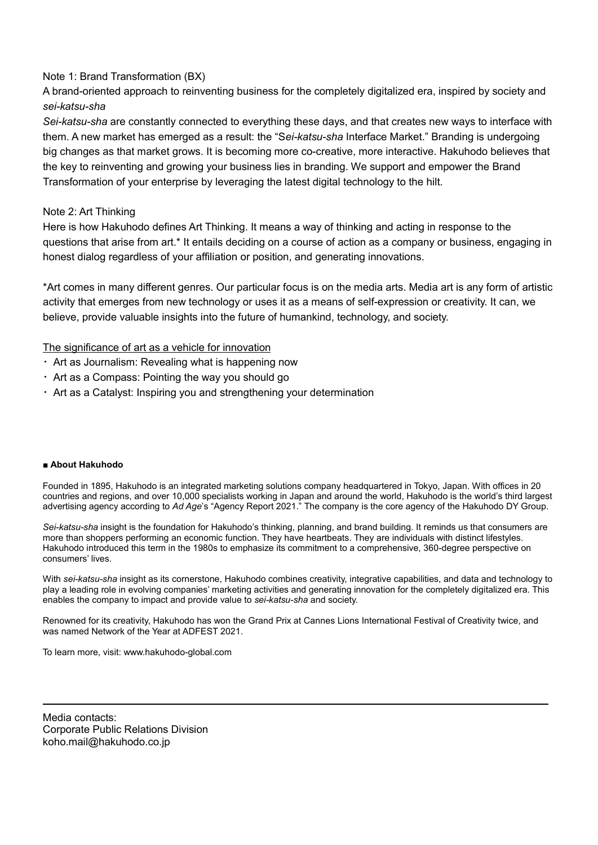#### Note 1: Brand Transformation (BX)

A brand-oriented approach to reinventing business for the completely digitalized era, inspired by society and *sei-katsu-sha*

*Sei-katsu-sha* are constantly connected to everything these days, and that creates new ways to interface with them. A new market has emerged as a result: the "S*ei-katsu-sha* Interface Market." Branding is undergoing big changes as that market grows. It is becoming more co-creative, more interactive. Hakuhodo believes that the key to reinventing and growing your business lies in branding. We support and empower the Brand Transformation of your enterprise by leveraging the latest digital technology to the hilt.

#### Note 2: Art Thinking

Here is how Hakuhodo defines Art Thinking. It means a way of thinking and acting in response to the questions that arise from art.\* It entails deciding on a course of action as a company or business, engaging in honest dialog regardless of your affiliation or position, and generating innovations.

\*Art comes in many different genres. Our particular focus is on the media arts. Media art is any form of artistic activity that emerges from new technology or uses it as a means of self-expression or creativity. It can, we believe, provide valuable insights into the future of humankind, technology, and society.

The significance of art as a vehicle for innovation

- $\cdot$  Art as Journalism: Revealing what is happening now
- ・ Art as a Compass: Pointing the way you should go
- ・ Art as a Catalyst: Inspiring you and strengthening your determination

#### ■ **About Hakuhodo**

Founded in 1895, Hakuhodo is an integrated marketing solutions company headquartered in Tokyo, Japan. With offices in 20 countries and regions, and over 10,000 specialists working in Japan and around the world, Hakuhodo is the world's third largest advertising agency according to *Ad Age*'s "Agency Report 2021." The company is the core agency of the Hakuhodo DY Group.

*Sei-katsu-sha* insight is the foundation for Hakuhodo's thinking, planning, and brand building. It reminds us that consumers are more than shoppers performing an economic function. They have heartbeats. They are individuals with distinct lifestyles. Hakuhodo introduced this term in the 1980s to emphasize its commitment to a comprehensive, 360-degree perspective on consumers' lives.

With *sei-katsu-sha* insight as its cornerstone, Hakuhodo combines creativity, integrative capabilities, and data and technology to play a leading role in evolving companies' marketing activities and generating innovation for the completely digitalized era. This enables the company to impact and provide value to *sei-katsu-sha* and society.

Renowned for its creativity, Hakuhodo has won the Grand Prix at Cannes Lions International Festival of Creativity twice, and was named Network of the Year at ADFEST 2021.

To learn more, visit: www.hakuhodo-global.com